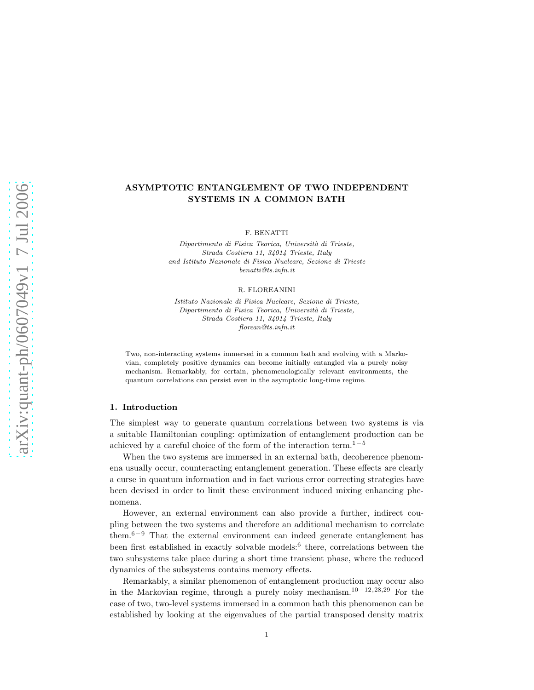# ASYMPTOTIC ENTANGLEMENT OF TWO INDEPENDENT SYSTEMS IN A COMMON BATH

F. BENATTI

Dipartimento di Fisica Teorica, Università di Trieste, Strada Costiera 11, 34014 Trieste, Italy and Istituto Nazionale di Fisica Nucleare, Sezione di Trieste benatti@ts.infn.it

#### R. FLOREANINI

Istituto Nazionale di Fisica Nucleare, Sezione di Trieste, Dipartimento di Fisica Teorica, Università di Trieste, Strada Costiera 11, 34014 Trieste, Italy florean@ts.infn.it

Two, non-interacting systems immersed in a common bath and evolving with a Markovian, completely positive dynamics can become initially entangled via a purely noisy mechanism. Remarkably, for certain, phenomenologically relevant environments, the quantum correlations can persist even in the asymptotic long-time regime.

## 1. Introduction

The simplest way to generate quantum correlations between two systems is via a suitable Hamiltonian coupling: optimization of entanglement production can be achieved by a careful choice of the form of the interaction term.<sup>1−5</sup>

When the two systems are immersed in an external bath, decoherence phenomena usually occur, counteracting entanglement generation. These effects are clearly a curse in quantum information and in fact various error correcting strategies have been devised in order to limit these environment induced mixing enhancing phenomena.

However, an external environment can also provide a further, indirect coupling between the two systems and therefore an additional mechanism to correlate them.6−<sup>9</sup> That the external environment can indeed generate entanglement has been first established in exactly solvable models:<sup>6</sup> there, correlations between the two subsystems take place during a short time transient phase, where the reduced dynamics of the subsystems contains memory effects.

Remarkably, a similar phenomenon of entanglement production may occur also in the Markovian regime, through a purely noisy mechanism.<sup>10</sup>−12,28,<sup>29</sup> For the case of two, two-level systems immersed in a common bath this phenomenon can be established by looking at the eigenvalues of the partial transposed density matrix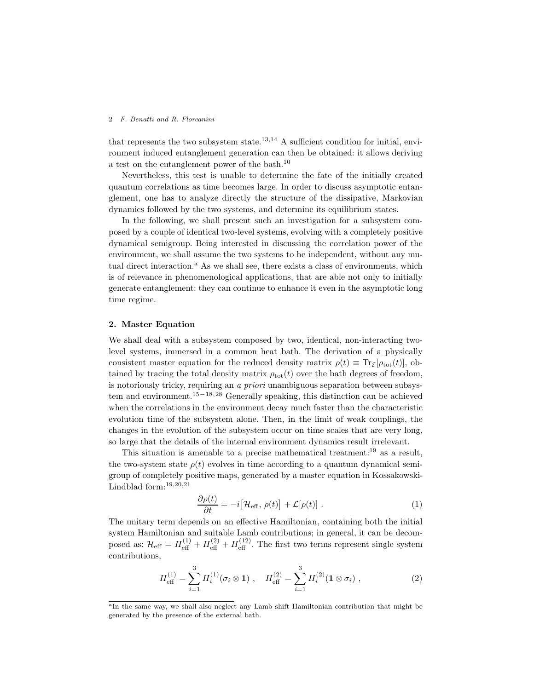that represents the two subsystem state.<sup>13,14</sup> A sufficient condition for initial, environment induced entanglement generation can then be obtained: it allows deriving a test on the entanglement power of the bath.<sup>10</sup>

Nevertheless, this test is unable to determine the fate of the initially created quantum correlations as time becomes large. In order to discuss asymptotic entanglement, one has to analyze directly the structure of the dissipative, Markovian dynamics followed by the two systems, and determine its equilibrium states.

In the following, we shall present such an investigation for a subsystem composed by a couple of identical two-level systems, evolving with a completely positive dynamical semigroup. Being interested in discussing the correlation power of the environment, we shall assume the two systems to be independent, without any mutual direct interaction.<sup>a</sup> As we shall see, there exists a class of environments, which is of relevance in phenomenological applications, that are able not only to initially generate entanglement: they can continue to enhance it even in the asymptotic long time regime.

# 2. Master Equation

We shall deal with a subsystem composed by two, identical, non-interacting twolevel systems, immersed in a common heat bath. The derivation of a physically consistent master equation for the reduced density matrix  $\rho(t) \equiv \text{Tr}_{\mathcal{E}}[\rho_{\text{tot}}(t)],$  obtained by tracing the total density matrix  $\rho_{tot}(t)$  over the bath degrees of freedom, is notoriously tricky, requiring an a priori unambiguous separation between subsystem and environment.<sup>15</sup>−18,<sup>28</sup> Generally speaking, this distinction can be achieved when the correlations in the environment decay much faster than the characteristic evolution time of the subsystem alone. Then, in the limit of weak couplings, the changes in the evolution of the subsystem occur on time scales that are very long, so large that the details of the internal environment dynamics result irrelevant.

This situation is amenable to a precise mathematical treatment:<sup>19</sup> as a result, the two-system state  $\rho(t)$  evolves in time according to a quantum dynamical semigroup of completely positive maps, generated by a master equation in Kossakowski-Lindblad form:19,20,<sup>21</sup>

$$
\frac{\partial \rho(t)}{\partial t} = -i \left[ \mathcal{H}_{\text{eff}}, \, \rho(t) \right] + \mathcal{L}[\rho(t)] \; . \tag{1}
$$

The unitary term depends on an effective Hamiltonian, containing both the initial system Hamiltonian and suitable Lamb contributions; in general, it can be decomposed as:  $\mathcal{H}_{\text{eff}} = H_{\text{eff}}^{(1)} + H_{\text{eff}}^{(2)} + H_{\text{eff}}^{(12)}$ . The first two terms represent single system contributions,

$$
H_{\text{eff}}^{(1)} = \sum_{i=1}^{3} H_i^{(1)}(\sigma_i \otimes \mathbf{1}), \quad H_{\text{eff}}^{(2)} = \sum_{i=1}^{3} H_i^{(2)}(\mathbf{1} \otimes \sigma_i), \tag{2}
$$

<sup>&</sup>lt;sup>a</sup>In the same way, we shall also neglect any Lamb shift Hamiltonian contribution that might be generated by the presence of the external bath.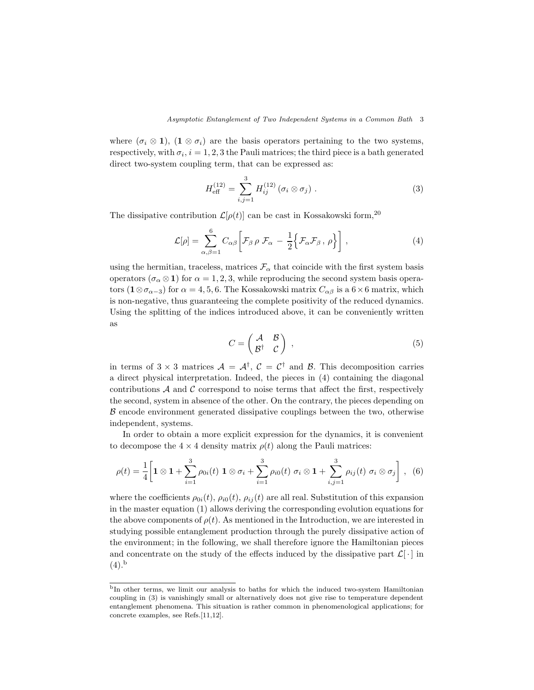where  $(\sigma_i \otimes 1)$ ,  $(1 \otimes \sigma_i)$  are the basis operators pertaining to the two systems, respectively, with  $\sigma_i$ ,  $i = 1, 2, 3$  the Pauli matrices; the third piece is a bath generated direct two-system coupling term, that can be expressed as:

$$
H_{\text{eff}}^{(12)} = \sum_{i,j=1}^{3} H_{ij}^{(12)} (\sigma_i \otimes \sigma_j) . \tag{3}
$$

The dissipative contribution  $\mathcal{L}[\rho(t)]$  can be cast in Kossakowski form,<sup>20</sup>

$$
\mathcal{L}[\rho] = \sum_{\alpha,\beta=1}^{6} C_{\alpha\beta} \left[ \mathcal{F}_{\beta} \rho \mathcal{F}_{\alpha} - \frac{1}{2} \left\{ \mathcal{F}_{\alpha} \mathcal{F}_{\beta} , \rho \right\} \right],
$$
 (4)

using the hermitian, traceless, matrices  $\mathcal{F}_{\alpha}$  that coincide with the first system basis operators ( $\sigma_{\alpha} \otimes 1$ ) for  $\alpha = 1, 2, 3$ , while reproducing the second system basis operators  $(1 \otimes \sigma_{\alpha-3})$  for  $\alpha = 4, 5, 6$ . The Kossakowski matrix  $C_{\alpha\beta}$  is a  $6 \times 6$  matrix, which is non-negative, thus guaranteeing the complete positivity of the reduced dynamics. Using the splitting of the indices introduced above, it can be conveniently written as

$$
C = \begin{pmatrix} A & B \\ B^{\dagger} & C \end{pmatrix} , \qquad (5)
$$

in terms of  $3 \times 3$  matrices  $\mathcal{A} = \mathcal{A}^{\dagger}$ ,  $\mathcal{C} = \mathcal{C}^{\dagger}$  and  $\mathcal{B}$ . This decomposition carries a direct physical interpretation. Indeed, the pieces in (4) containing the diagonal contributions  $A$  and  $C$  correspond to noise terms that affect the first, respectively the second, system in absence of the other. On the contrary, the pieces depending on B encode environment generated dissipative couplings between the two, otherwise independent, systems.

In order to obtain a more explicit expression for the dynamics, it is convenient to decompose the  $4 \times 4$  density matrix  $\rho(t)$  along the Pauli matrices:

$$
\rho(t) = \frac{1}{4} \bigg[ 1 \otimes 1 + \sum_{i=1}^{3} \rho_{0i}(t) \; 1 \otimes \sigma_i + \sum_{i=1}^{3} \rho_{i0}(t) \; \sigma_i \otimes 1 + \sum_{i,j=1}^{3} \rho_{ij}(t) \; \sigma_i \otimes \sigma_j \bigg] \; , \; (6)
$$

where the coefficients  $\rho_{0i}(t)$ ,  $\rho_{i0}(t)$ ,  $\rho_{ij}(t)$  are all real. Substitution of this expansion in the master equation (1) allows deriving the corresponding evolution equations for the above components of  $\rho(t)$ . As mentioned in the Introduction, we are interested in studying possible entanglement production through the purely dissipative action of the environment; in the following, we shall therefore ignore the Hamiltonian pieces and concentrate on the study of the effects induced by the dissipative part  $\mathcal{L}[\cdot]$  in  $(4).<sup>b</sup>$ 

<sup>b</sup>In other terms, we limit our analysis to baths for which the induced two-system Hamiltonian coupling in (3) is vanishingly small or alternatively does not give rise to temperature dependent entanglement phenomena. This situation is rather common in phenomenological applications; for concrete examples, see Refs.[11,12].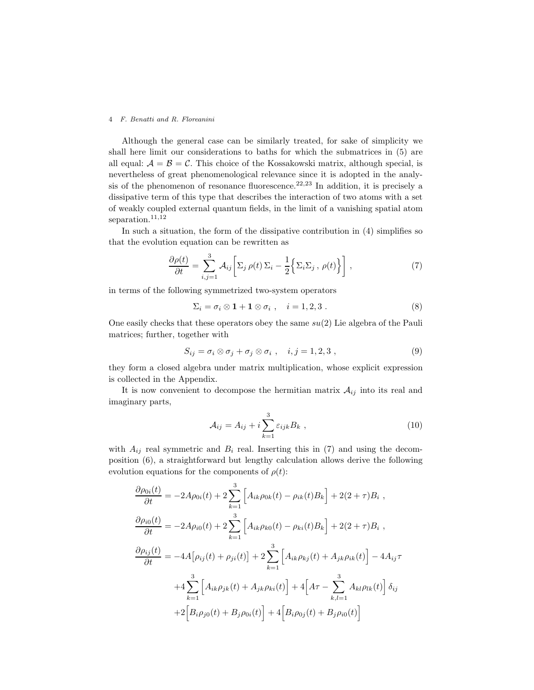Although the general case can be similarly treated, for sake of simplicity we shall here limit our considerations to baths for which the submatrices in (5) are all equal:  $A = B = C$ . This choice of the Kossakowski matrix, although special, is nevertheless of great phenomenological relevance since it is adopted in the analysis of the phenomenon of resonance fluorescence.<sup>22,23</sup> In addition, it is precisely a dissipative term of this type that describes the interaction of two atoms with a set of weakly coupled external quantum fields, in the limit of a vanishing spatial atom separation.<sup>11,12</sup>

In such a situation, the form of the dissipative contribution in (4) simplifies so that the evolution equation can be rewritten as

$$
\frac{\partial \rho(t)}{\partial t} = \sum_{i,j=1}^{3} \mathcal{A}_{ij} \left[ \Sigma_j \rho(t) \Sigma_i - \frac{1}{2} \left\{ \Sigma_i \Sigma_j, \rho(t) \right\} \right],
$$
 (7)

in terms of the following symmetrized two-system operators

$$
\Sigma_i = \sigma_i \otimes \mathbf{1} + \mathbf{1} \otimes \sigma_i , \quad i = 1, 2, 3 . \tag{8}
$$

One easily checks that these operators obey the same  $su(2)$  Lie algebra of the Pauli matrices; further, together with

$$
S_{ij} = \sigma_i \otimes \sigma_j + \sigma_j \otimes \sigma_i , \quad i, j = 1, 2, 3 , \tag{9}
$$

they form a closed algebra under matrix multiplication, whose explicit expression is collected in the Appendix.

It is now convenient to decompose the hermitian matrix  $A_{ij}$  into its real and imaginary parts,

$$
\mathcal{A}_{ij} = A_{ij} + i \sum_{k=1}^{3} \varepsilon_{ijk} B_k , \qquad (10)
$$

with  $A_{ij}$  real symmetric and  $B_i$  real. Inserting this in (7) and using the decomposition (6), a straightforward but lengthy calculation allows derive the following evolution equations for the components of  $\rho(t)$ :

$$
\frac{\partial \rho_{0i}(t)}{\partial t} = -2A\rho_{0i}(t) + 2\sum_{k=1}^{3} \left[ A_{ik}\rho_{0k}(t) - \rho_{ik}(t)B_k \right] + 2(2+\tau)B_i ,
$$
  

$$
\frac{\partial \rho_{i0}(t)}{\partial t} = -2A\rho_{i0}(t) + 2\sum_{k=1}^{3} \left[ A_{ik}\rho_{k0}(t) - \rho_{ki}(t)B_k \right] + 2(2+\tau)B_i ,
$$
  

$$
\frac{\partial \rho_{ij}(t)}{\partial t} = -4A[\rho_{ij}(t) + \rho_{ji}(t)] + 2\sum_{k=1}^{3} \left[ A_{ik}\rho_{kj}(t) + A_{jk}\rho_{ik}(t) \right] - 4A_{ij}\tau
$$
  

$$
+4\sum_{k=1}^{3} \left[ A_{ik}\rho_{jk}(t) + A_{jk}\rho_{ki}(t) \right] + 4\left[ A\tau - \sum_{k,l=1}^{3} A_{kl}\rho_{lk}(t) \right] \delta_{ij}
$$
  

$$
+ 2\left[ B_{i}\rho_{j0}(t) + B_{j}\rho_{0i}(t) \right] + 4\left[ B_{i}\rho_{0j}(t) + B_{j}\rho_{i0}(t) \right]
$$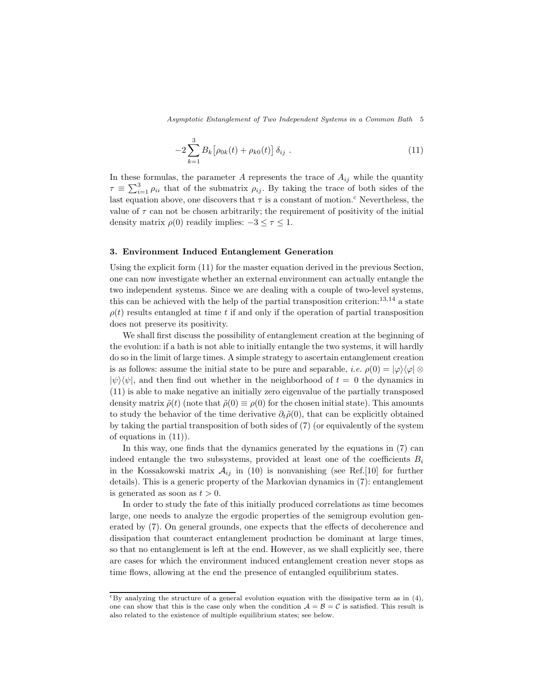Asymptotic Entanglement of Two Independent Systems in a Common Bath 5

$$
-2\sum_{k=1}^{3} B_k \left[ \rho_{0k}(t) + \rho_{k0}(t) \right] \delta_{ij} . \tag{11}
$$

In these formulas, the parameter A represents the trace of  $A_{ij}$  while the quantity  $\tau \equiv \sum_{i=1}^{3} \rho_{ii}$  that of the submatrix  $\rho_{ij}$ . By taking the trace of both sides of the last equation above, one discovers that  $\tau$  is a constant of motion.<sup>c</sup> Nevertheless, the value of  $\tau$  can not be chosen arbitrarily; the requirement of positivity of the initial density matrix  $\rho(0)$  readily implies:  $-3 \leq \tau \leq 1$ .

## 3. Environment Induced Entanglement Generation

Using the explicit form (11) for the master equation derived in the previous Section, one can now investigate whether an external environment can actually entangle the two independent systems. Since we are dealing with a couple of two-level systems, this can be achieved with the help of the partial transposition criterion: $^{13,14}$  a state  $\rho(t)$  results entangled at time t if and only if the operation of partial transposition does not preserve its positivity.

We shall first discuss the possibility of entanglement creation at the beginning of the evolution: if a bath is not able to initially entangle the two systems, it will hardly do so in the limit of large times. A simple strategy to ascertain entanglement creation is as follows: assume the initial state to be pure and separable, *i.e.*  $\rho(0) = |\varphi\rangle\langle\varphi| \otimes$  $|\psi\rangle\langle\psi|$ , and then find out whether in the neighborhood of  $t = 0$  the dynamics in (11) is able to make negative an initially zero eigenvalue of the partially transposed density matrix  $\tilde{\rho}(t)$  (note that  $\tilde{\rho}(0) \equiv \rho(0)$  for the chosen initial state). This amounts to study the behavior of the time derivative  $\partial_t \tilde{\rho}(0)$ , that can be explicitly obtained by taking the partial transposition of both sides of (7) (or equivalently of the system of equations in (11)).

In this way, one finds that the dynamics generated by the equations in (7) can indeed entangle the two subsystems, provided at least one of the coefficients  $B_i$ in the Kossakowski matrix  $A_{ij}$  in (10) is nonvanishing (see Ref.[10] for further details). This is a generic property of the Markovian dynamics in (7): entanglement is generated as soon as  $t > 0$ .

In order to study the fate of this initially produced correlations as time becomes large, one needs to analyze the ergodic properties of the semigroup evolution generated by (7). On general grounds, one expects that the effects of decoherence and dissipation that counteract entanglement production be dominant at large times, so that no entanglement is left at the end. However, as we shall explicitly see, there are cases for which the environment induced entanglement creation never stops as time flows, allowing at the end the presence of entangled equilibrium states.

 ${}^c$ By analyzing the structure of a general evolution equation with the dissipative term as in (4), one can show that this is the case only when the condition  $A = B = C$  is satisfied. This result is also related to the existence of multiple equilibrium states; see below.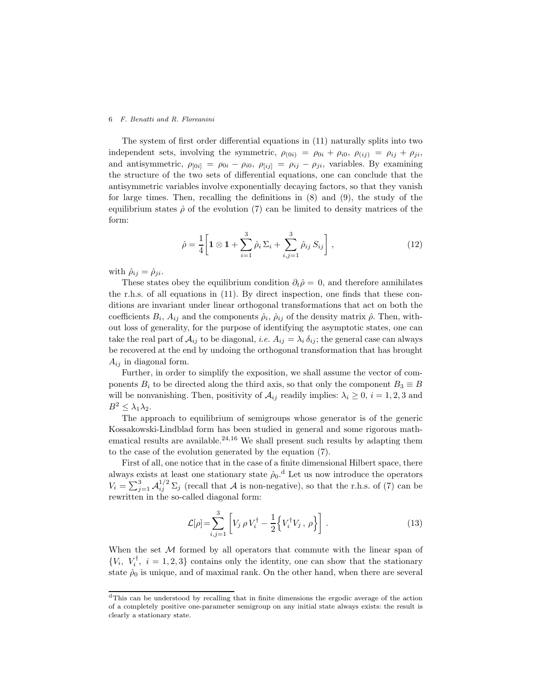The system of first order differential equations in (11) naturally splits into two independent sets, involving the symmetric,  $\rho_{(0i)} = \rho_{0i} + \rho_{i0}, \ \rho_{(ij)} = \rho_{ij} + \rho_{ji},$ and antisymmetric,  $\rho_{[0i]} = \rho_{0i} - \rho_{i0}$ ,  $\rho_{[ij]} = \rho_{ij} - \rho_{ji}$ , variables. By examining the structure of the two sets of differential equations, one can conclude that the antisymmetric variables involve exponentially decaying factors, so that they vanish for large times. Then, recalling the definitions in (8) and (9), the study of the equilibrium states  $\hat{\rho}$  of the evolution (7) can be limited to density matrices of the form:

$$
\hat{\rho} = \frac{1}{4} \left[ \mathbf{1} \otimes \mathbf{1} + \sum_{i=1}^{3} \hat{\rho}_i \Sigma_i + \sum_{i,j=1}^{3} \hat{\rho}_{ij} S_{ij} \right],
$$
\n(12)

with  $\hat{\rho}_{ij} = \hat{\rho}_{ji}$ .

These states obey the equilibrium condition  $\partial_t \hat{\rho} = 0$ , and therefore annihilates the r.h.s. of all equations in (11). By direct inspection, one finds that these conditions are invariant under linear orthogonal transformations that act on both the coefficients  $B_i$ ,  $A_{ij}$  and the components  $\hat{\rho}_i$ ,  $\hat{\rho}_{ij}$  of the density matrix  $\hat{\rho}$ . Then, without loss of generality, for the purpose of identifying the asymptotic states, one can take the real part of  $A_{ij}$  to be diagonal, *i.e.*  $A_{ij} = \lambda_i \delta_{ij}$ ; the general case can always be recovered at the end by undoing the orthogonal transformation that has brought  $A_{ij}$  in diagonal form.

Further, in order to simplify the exposition, we shall assume the vector of components  $B_i$  to be directed along the third axis, so that only the component  $B_3 \equiv B$ will be nonvanishing. Then, positivity of  $A_{ij}$  readily implies:  $\lambda_i \geq 0$ ,  $i = 1, 2, 3$  and  $B^2 \leq \lambda_1 \lambda_2$ .

The approach to equilibrium of semigroups whose generator is of the generic Kossakowski-Lindblad form has been studied in general and some rigorous mathematical results are available. $24,16$  We shall present such results by adapting them to the case of the evolution generated by the equation (7).

First of all, one notice that in the case of a finite dimensional Hilbert space, there always exists at least one stationary state  $\hat{\rho}_0$ .<sup>d</sup> Let us now introduce the operators  $V_i = \sum_{j=1}^3 \mathcal{A}_{ij}^{1/2} \Sigma_j$  (recall that A is non-negative), so that the r.h.s. of (7) can be rewritten in the so-called diagonal form:

$$
\mathcal{L}[\rho] = \sum_{i,j=1}^{3} \left[ V_j \rho V_i^{\dagger} - \frac{1}{2} \left\{ V_i^{\dagger} V_j, \rho \right\} \right]. \tag{13}
$$

When the set  $M$  formed by all operators that commute with the linear span of  $\{V_i, V_i^{\dagger}, i = 1, 2, 3\}$  contains only the identity, one can show that the stationary state  $\hat{\rho}_0$  is unique, and of maximal rank. On the other hand, when there are several

<sup>d</sup>This can be understood by recalling that in finite dimensions the ergodic average of the action of a completely positive one-parameter semigroup on any initial state always exists: the result is clearly a stationary state.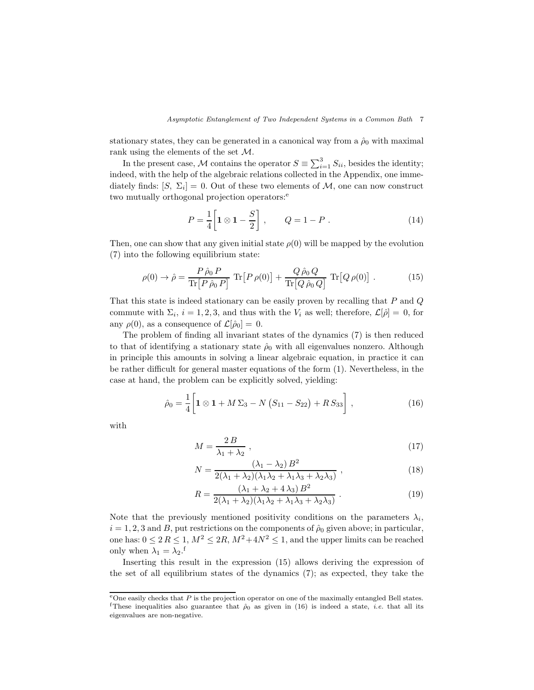stationary states, they can be generated in a canonical way from a  $\hat{\rho}_0$  with maximal rank using the elements of the set M.

In the present case, M contains the operator  $S \equiv \sum_{i=1}^{3} S_{ii}$ , besides the identity; indeed, with the help of the algebraic relations collected in the Appendix, one immediately finds:  $[S, \Sigma_i] = 0$ . Out of these two elements of M, one can now construct two mutually orthogonal projection operators:<sup>e</sup>

$$
P = \frac{1}{4} \left[ 1 \otimes 1 - \frac{S}{2} \right], \qquad Q = 1 - P \ . \tag{14}
$$

Then, one can show that any given initial state  $\rho(0)$  will be mapped by the evolution (7) into the following equilibrium state:

$$
\rho(0) \to \hat{\rho} = \frac{P \hat{\rho}_0 P}{\text{Tr} \left[ P \hat{\rho}_0 P \right]} \text{Tr} \left[ P \rho(0) \right] + \frac{Q \hat{\rho}_0 Q}{\text{Tr} \left[ Q \hat{\rho}_0 Q \right]} \text{Tr} \left[ Q \rho(0) \right]. \tag{15}
$$

That this state is indeed stationary can be easily proven by recalling that  $P$  and  $Q$ commute with  $\Sigma_i$ ,  $i = 1, 2, 3$ , and thus with the  $V_i$  as well; therefore,  $\mathcal{L}[\hat{\rho}] = 0$ , for any  $\rho(0)$ , as a consequence of  $\mathcal{L}[\hat{\rho}_0] = 0$ .

The problem of finding all invariant states of the dynamics (7) is then reduced to that of identifying a stationary state  $\hat{\rho}_0$  with all eigenvalues nonzero. Although in principle this amounts in solving a linear algebraic equation, in practice it can be rather difficult for general master equations of the form (1). Nevertheless, in the case at hand, the problem can be explicitly solved, yielding:

$$
\hat{\rho}_0 = \frac{1}{4} \bigg[ \mathbf{1} \otimes \mathbf{1} + M \Sigma_3 - N \left( S_{11} - S_{22} \right) + R \, S_{33} \bigg] \;, \tag{16}
$$

with

$$
M = \frac{2B}{\lambda_1 + \lambda_2} \,,\tag{17}
$$

$$
N = \frac{(\lambda_1 - \lambda_2) B^2}{2(\lambda_1 + \lambda_2)(\lambda_1 \lambda_2 + \lambda_1 \lambda_3 + \lambda_2 \lambda_3)},
$$
\n(18)

$$
R = \frac{(\lambda_1 + \lambda_2 + 4\lambda_3) B^2}{2(\lambda_1 + \lambda_2)(\lambda_1\lambda_2 + \lambda_1\lambda_3 + \lambda_2\lambda_3)}.
$$
 (19)

Note that the previously mentioned positivity conditions on the parameters  $\lambda_i$ ,  $i = 1, 2, 3$  and B, put restrictions on the components of  $\hat{\rho}_0$  given above; in particular, one has:  $0 \leq 2 R \leq 1$ ,  $M^2 \leq 2R$ ,  $M^2 + 4N^2 \leq 1$ , and the upper limits can be reached only when  $\lambda_1 = \lambda_2$ .<sup>f</sup>

Inserting this result in the expression (15) allows deriving the expression of the set of all equilibrium states of the dynamics (7); as expected, they take the

eOne easily checks that  $P$  is the projection operator on one of the maximally entangled Bell states. <sup>f</sup>These inequalities also guarantee that  $\hat{\rho}_0$  as given in (16) is indeed a state, *i.e.* that all its eigenvalues are non-negative.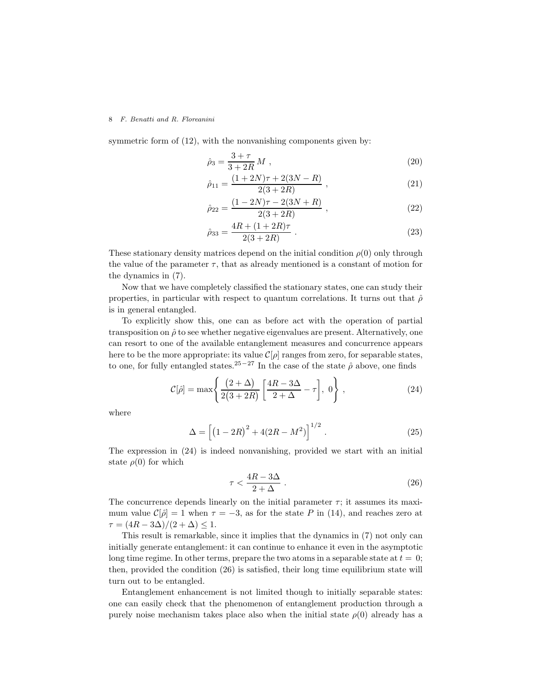symmetric form of  $(12)$ , with the nonvanishing components given by:

$$
\hat{\rho}_3 = \frac{3+\tau}{3+2R} M \;, \tag{20}
$$

$$
\hat{\rho}_{11} = \frac{(1+2N)\tau + 2(3N - R)}{2(3+2R)} ,\qquad (21)
$$

$$
\hat{\rho}_{22} = \frac{(1 - 2N)\tau - 2(3N + R)}{2(3 + 2R)} ,\qquad (22)
$$

$$
\hat{\rho}_{33} = \frac{4R + (1 + 2R)\tau}{2(3 + 2R)} \,. \tag{23}
$$

These stationary density matrices depend on the initial condition  $\rho(0)$  only through the value of the parameter  $\tau$ , that as already mentioned is a constant of motion for the dynamics in (7).

Now that we have completely classified the stationary states, one can study their properties, in particular with respect to quantum correlations. It turns out that  $\hat{\rho}$ is in general entangled.

To explicitly show this, one can as before act with the operation of partial transposition on  $\hat{\rho}$  to see whether negative eigenvalues are present. Alternatively, one can resort to one of the available entanglement measures and concurrence appears here to be the more appropriate: its value  $\mathcal{C}[\rho]$  ranges from zero, for separable states, to one, for fully entangled states.<sup>25−27</sup> In the case of the state  $\hat{\rho}$  above, one finds

$$
\mathcal{C}[\hat{\rho}] = \max\left\{\frac{(2+\Delta)}{2(3+2R)}\left[\frac{4R-3\Delta}{2+\Delta} - \tau\right], 0\right\},\tag{24}
$$

where

$$
\Delta = \left[ \left( 1 - 2R \right)^2 + 4(2R - M^2) \right]^{1/2} . \tag{25}
$$

The expression in (24) is indeed nonvanishing, provided we start with an initial state  $\rho(0)$  for which

$$
\tau < \frac{4R - 3\Delta}{2 + \Delta} \tag{26}
$$

The concurrence depends linearly on the initial parameter  $\tau$ ; it assumes its maximum value  $\mathcal{C}[\hat{\rho}] = 1$  when  $\tau = -3$ , as for the state P in (14), and reaches zero at  $\tau = (4R - 3\Delta)/(2 + \Delta) \leq 1.$ 

This result is remarkable, since it implies that the dynamics in (7) not only can initially generate entanglement: it can continue to enhance it even in the asymptotic long time regime. In other terms, prepare the two atoms in a separable state at  $t = 0$ ; then, provided the condition (26) is satisfied, their long time equilibrium state will turn out to be entangled.

Entanglement enhancement is not limited though to initially separable states: one can easily check that the phenomenon of entanglement production through a purely noise mechanism takes place also when the initial state  $\rho(0)$  already has a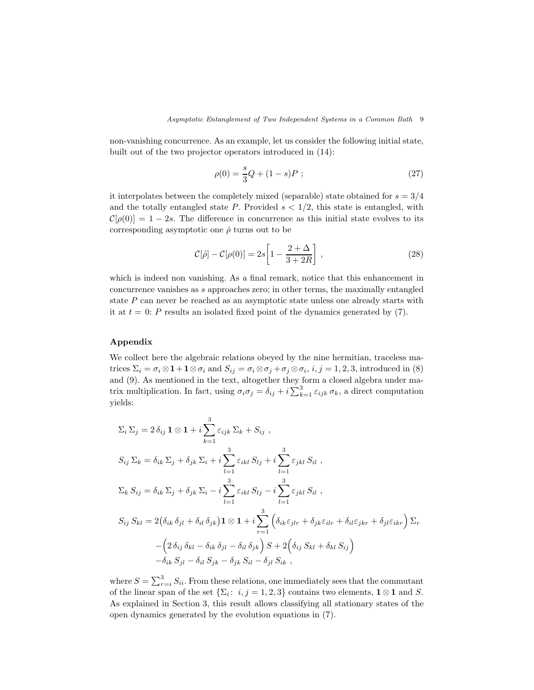non-vanishing concurrence. As an example, let us consider the following initial state, built out of the two projector operators introduced in (14):

$$
\rho(0) = \frac{s}{3}Q + (1 - s)P \; ; \tag{27}
$$

it interpolates between the completely mixed (separable) state obtained for  $s = 3/4$ and the totally entangled state  $P$ . Provided  $s < 1/2$ , this state is entangled, with  $\mathcal{C}[\rho(0)] = 1 - 2s$ . The difference in concurrence as this initial state evolves to its corresponding asymptotic one  $\hat{\rho}$  turns out to be

$$
\mathcal{C}[\hat{\rho}] - \mathcal{C}[\rho(0)] = 2s \left[ 1 - \frac{2 + \Delta}{3 + 2R} \right],
$$
\n(28)

which is indeed non vanishing. As a final remark, notice that this enhancement in concurrence vanishes as s approaches zero; in other terms, the maximally entangled state  $P$  can never be reached as an asymptotic state unless one already starts with it at  $t = 0$ : P results an isolated fixed point of the dynamics generated by (7).

## Appendix

We collect here the algebraic relations obeyed by the nine hermitian, traceless matrices  $\Sigma_i = \sigma_i \otimes \mathbf{1} + \mathbf{1} \otimes \sigma_i$  and  $S_{ij} = \sigma_i \otimes \sigma_j + \sigma_j \otimes \sigma_i$ ,  $i, j = 1, 2, 3$ , introduced in (8) and (9). As mentioned in the text, altogether they form a closed algebra under matrix multiplication. In fact, using  $\sigma_i \sigma_j = \delta_{ij} + i \sum_{k=1}^3 \varepsilon_{ijk} \sigma_k$ , a direct computation yields:

$$
\Sigma_{i} \Sigma_{j} = 2 \delta_{ij} \mathbf{1} \otimes \mathbf{1} + i \sum_{k=1}^{3} \varepsilon_{ijk} \Sigma_{k} + S_{ij} ,
$$
  
\n
$$
S_{ij} \Sigma_{k} = \delta_{ik} \Sigma_{j} + \delta_{jk} \Sigma_{i} + i \sum_{l=1}^{3} \varepsilon_{ikl} S_{lj} + i \sum_{l=1}^{3} \varepsilon_{jkl} S_{il} ,
$$
  
\n
$$
\Sigma_{k} S_{ij} = \delta_{ik} \Sigma_{j} + \delta_{jk} \Sigma_{i} - i \sum_{l=1}^{3} \varepsilon_{ikl} S_{lj} - i \sum_{l=1}^{3} \varepsilon_{jkl} S_{il} ,
$$
  
\n
$$
S_{ij} S_{kl} = 2 (\delta_{ik} \delta_{jl} + \delta_{il} \delta_{jk}) \mathbf{1} \otimes \mathbf{1} + i \sum_{r=1}^{3} (\delta_{ik} \varepsilon_{jlr} + \delta_{jk} \varepsilon_{ilr} + \delta_{il} \varepsilon_{jkr} + \delta_{jl} \varepsilon_{ikr}) \Sigma_{r}
$$
  
\n
$$
- (2 \delta_{ij} \delta_{kl} - \delta_{ik} \delta_{jl} - \delta_{il} \delta_{jk}) S + 2 (\delta_{ij} S_{kl} + \delta_{kl} S_{ij})
$$
  
\n
$$
- \delta_{ik} S_{jl} - \delta_{il} S_{jk} - \delta_{jk} S_{il} - \delta_{jl} S_{ik} ,
$$

where  $S = \sum_{r=i}^{3} S_{ii}$ . From these relations, one immediately sees that the commutant of the linear span of the set  $\{\Sigma_i: i, j = 1, 2, 3\}$  contains two elements,  $1 \otimes 1$  and S. As explained in Section 3, this result allows classifying all stationary states of the open dynamics generated by the evolution equations in (7).